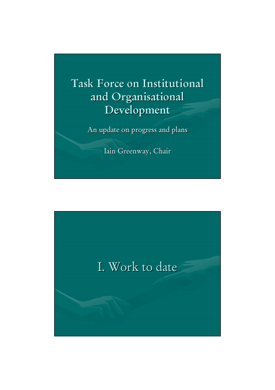

An update on progress and plans

Iain Greenway, Chair

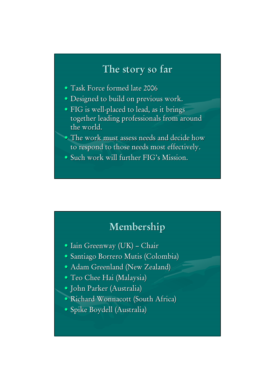# **The story so far The story so far**

- Task Force formed late 2006
- Designed to build on previous work.
- FIG is well-placed to lead, as it brings together leading professionals from around the world.
- $\bullet$  The work must assess needs and decide how to respond to those needs most effectively.
- $\bullet$  Such work will further FIG's Mission.

### **Membership Membership**

- Iain Greenway (UK) Chair
- Santiago Borrero Mutis (Colombia)
- Adam Greenland (New Zealand)
- Teo Chee Hai (Malaysia)
- John Parker (Australia) John Parker (Australia)
- Richard Wonnacott (South Africa)
- · Spike Boydell (Australia)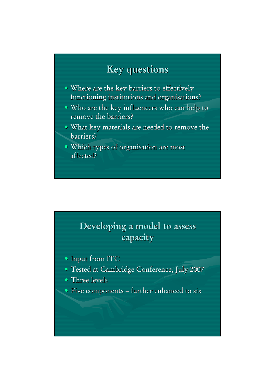## **Key questions Key questions**

- Where are the key barriers to effectively functioning institutions and organisations?
- Who are the key influencers who can help to remove the barriers?
- What key materials are needed to remove the barriers? barriers?
- · Which types of organisation are most affected? affected?

### Developing a model to assess **capacity capacity**

- Input from ITC
- Tested at Cambridge Conference, July 2007
- Three levels
- $\bullet$  Five components further enhanced to six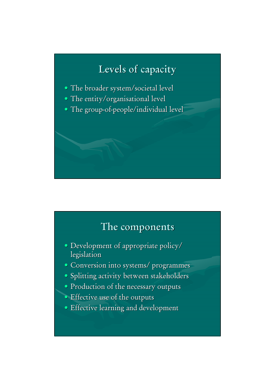# **Levels of capacity Levels of capacity**

- The broader system/societal level
- The entity/organisational level
- $\bullet$  The group-of-people/individual level

# **The components The components**

- Development of appropriate policy/ Development of appropriate policy/ legislation
- Conversion into systems/ programmes
- Splitting activity between stakeholders
- Production of the necessary outputs
- Effective use of the outputs
- Effective learning and development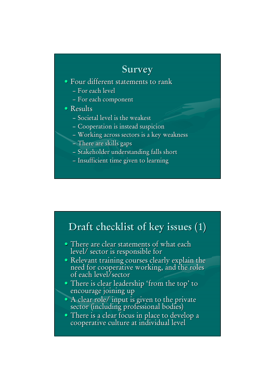# **Survey**

#### • Four different statements to rank

- For each level
- For each component

#### • Results

- $-$  Societal level is the weakest
- Cooperation is instead suspicion
- Working across sectors is a key weakness
- There are skills gaps
- Stakeholder understanding falls short
- Insufficient time given to learning

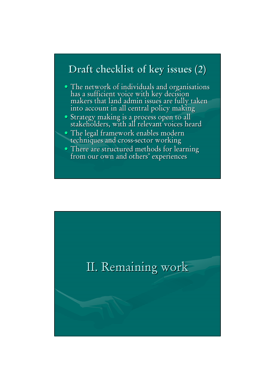## **Draft checklist of key issues (2) Draft checklist of key issues (2)**

- The network of individuals and organisations has a sufficient voice with key decision makers that land admin issues are fully taken into account in all central policy making into account in all central policy making
- Strategy making is a process open to all stakeholders, with all relevant voices heard stakeholders, with all relevant voices heard
- The legal framework enables modern techniques and cross-sector working
- There are structured methods for learning from our own and others' experiences